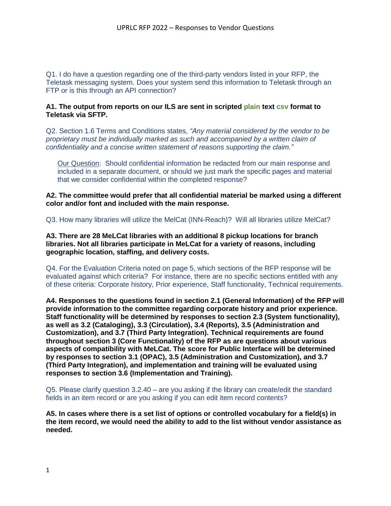Q1. I do have a question regarding one of the third-party vendors listed in your RFP, the Teletask messaging system. Does your system send this information to Teletask through an FTP or is this through an API connection?

## **A1. The output from reports on our ILS are sent in scripted plain text csv format to Teletask via SFTP.**

Q2. Section 1.6 Terms and Conditions states, *"Any material considered by the vendor to be proprietary must be individually marked as such and accompanied by a written claim of confidentiality and a concise written statement of reasons supporting the claim."*

Our Question: Should confidential information be redacted from our main response and included in a separate document, or should we just mark the specific pages and material that we consider confidential within the completed response?

**A2. The committee would prefer that all confidential material be marked using a different color and/or font and included with the main response.**

Q3. How many libraries will utilize the MelCat (INN-Reach)? Will all libraries utilize MelCat?

**A3. There are 28 MeLCat libraries with an additional 8 pickup locations for branch libraries. Not all libraries participate in MeLCat for a variety of reasons, including geographic location, staffing, and delivery costs.**

Q4. For the Evaluation Criteria noted on page 5, which sections of the RFP response will be evaluated against which criteria? For instance, there are no specific sections entitled with any of these criteria: Corporate history, Prior experience, Staff functionality, Technical requirements.

**A4. Responses to the questions found in section 2.1 (General Information) of the RFP will provide information to the committee regarding corporate history and prior experience. Staff functionality will be determined by responses to section 2.3 (System functionality), as well as 3.2 (Cataloging), 3.3 (Circulation), 3.4 (Reports), 3.5 (Administration and Customization), and 3.7 (Third Party Integration). Technical requirements are found throughout section 3 (Core Functionality) of the RFP as are questions about various aspects of compatibility with MeLCat. The score for Public Interface will be determined by responses to section 3.1 (OPAC), 3.5 (Administration and Customization), and 3.7 (Third Party Integration), and implementation and training will be evaluated using responses to section 3.6 (Implementation and Training).**

Q5. Please clarify question 3.2.40 – are you asking if the library can create/edit the standard fields in an item record or are you asking if you can edit item record contents?

**A5. In cases where there is a set list of options or controlled vocabulary for a field(s) in the item record, we would need the ability to add to the list without vendor assistance as needed.**